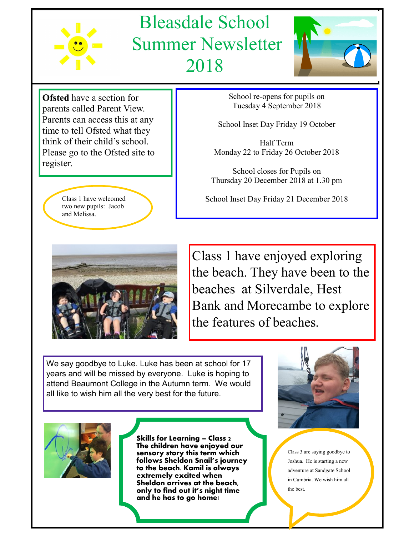

## Bleasdale School Summer Newsletter 2018



**Ofsted** have a section for parents called Parent View. Parents can access this at any time to tell Ofsted what they think of their child's school. Please go to the Ofsted site to register.

> Class 1 have welcomed two new pupils: Jacob and Melissa.



School re-opens for pupils on Tuesday 4 September 2018

School Inset Day Friday 19 October

Half Term Monday 22 to Friday 26 October 2018

School closes for Pupils on Thursday 20 December 2018 at 1.30 pm

School Inset Day Friday 21 December 2018

Class 1 have enjoyed exploring the beach. They have been to the beaches at Silverdale, Hest Bank and Morecambe to explore the features of beaches.

We say goodbye to Luke. Luke has been at school for 17 years and will be missed by everyone. Luke is hoping to attend Beaumont College in the Autumn term. We would all like to wish him all the very best for the future.



**Skills for Learning – Class 2 The children have enjoyed our sensory story this term which follows Sheldon Snail's journey to the beach. Kamil is always extremely excited when Sheldon arrives at the beach, only to find out it's night time and he has to go home!** 



Class 3 are saying goodbye to Joshua. He is starting a new adventure at Sandgate School in Cumbria. We wish him all the best.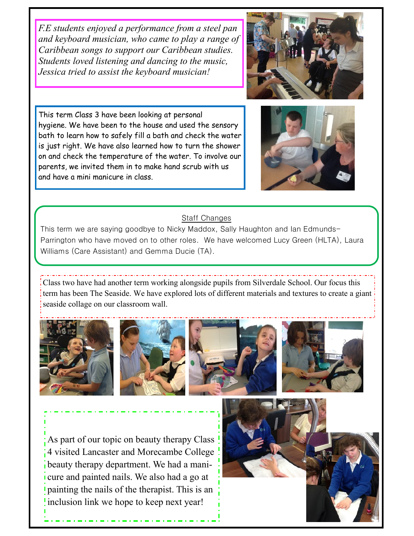*F.E students enjoyed a performance from a steel pan and keyboard musician, who came to play a range of Caribbean songs to support our Caribbean studies. Students loved listening and dancing to the music, Jessica tried to assist the keyboard musician!*



This term Class 3 have been looking at personal hygiene. We have been to the house and used the sensory bath to learn how to safely fill a bath and check the water is just right. We have also learned how to turn the shower on and check the temperature of the water. To involve our parents, we invited them in to make hand scrub with us and have a mini manicure in class.



## Staff Changes

This term we are saying goodbye to Nicky Maddox, Sally Haughton and lan Edmunds-Parrington who have moved on to other roles. We have welcomed Lucy Green (HLTA), Laura Williams (Care Assistant) and Gemma Ducie (TA).

Class two have had another term working alongside pupils from Silverdale School. Our focus this term has been The Seaside. We have explored lots of different materials and textures to create a giant seaside collage on our classroom wall.









As part of our topic on beauty therapy Class 4 visited Lancaster and Morecambe College beauty therapy department. We had a manicure and painted nails. We also had a go at painting the nails of the therapist. This is an inclusion link we hope to keep next year!

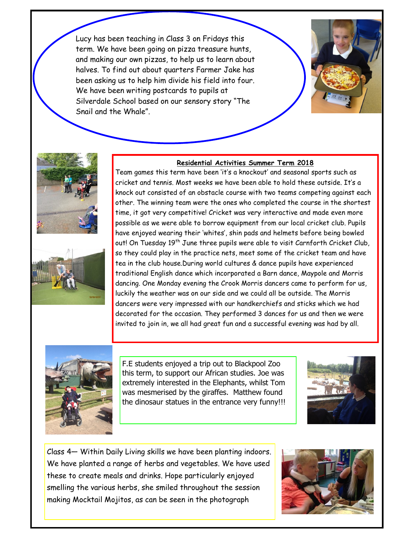Lucy has been teaching in Class 3 on Fridays this term. We have been going on pizza treasure hunts, and making our own pizzas, to help us to learn about halves. To find out about quarters Farmer Jake has been asking us to help him divide his field into four. We have been writing postcards to pupils at Silverdale School based on our sensory story "The Snail and the Whale".







## **Residential Activities Summer Term 2018**

Team games this term have been 'it's a knockout' and seasonal sports such as cricket and tennis. Most weeks we have been able to hold these outside. It's a knock out consisted of an obstacle course with two teams competing against each other. The winning team were the ones who completed the course in the shortest time, it got very competitive! Cricket was very interactive and made even more possible as we were able to borrow equipment from our local cricket club. Pupils have enjoyed wearing their 'whites', shin pads and helmets before being bowled out! On Tuesday 19<sup>th</sup> June three pupils were able to visit Carnforth Cricket Club, so they could play in the practice nets, meet some of the cricket team and have tea in the club house.During world cultures & dance pupils have experienced traditional English dance which incorporated a Barn dance, Maypole and Morris dancing. One Monday evening the Crook Morris dancers came to perform for us, luckily the weather was on our side and we could all be outside. The Morris dancers were very impressed with our handkerchiefs and sticks which we had decorated for the occasion. They performed 3 dances for us and then we were invited to join in, we all had great fun and a successful evening was had by all.



F.E students enjoyed a trip out to Blackpool Zoo this term, to support our African studies. Joe was extremely interested in the Elephants, whilst Tom was mesmerised by the giraffes. Matthew found the dinosaur statues in the entrance very funny!!!



Class 4— Within Daily Living skills we have been planting indoors. We have planted a range of herbs and vegetables. We have used these to create meals and drinks. Hope particularly enjoyed smelling the various herbs, she smiled throughout the session making Mocktail Mojitos, as can be seen in the photograph